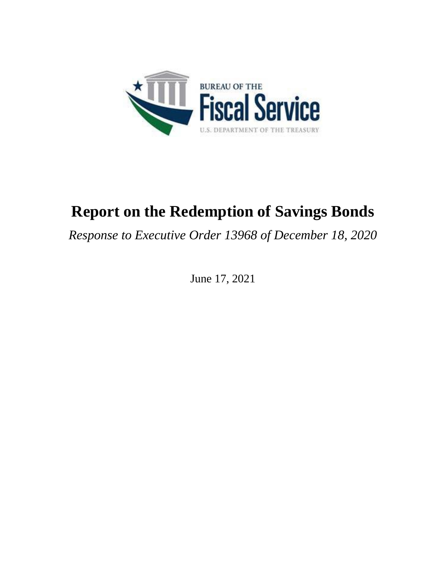

# **Report on the Redemption of Savings Bonds**

*Response to Executive Order 13968 of December 18, 2020*

June 17, 2021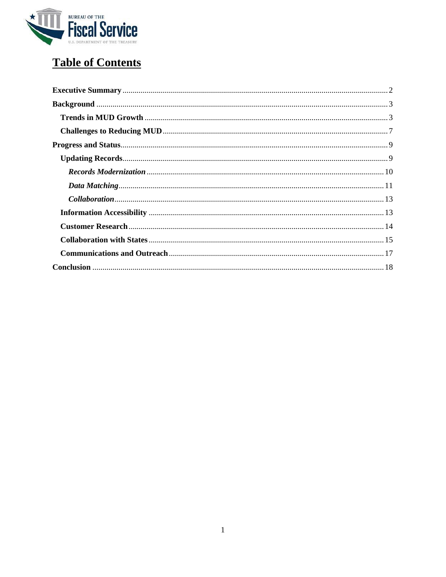

# **Table of Contents**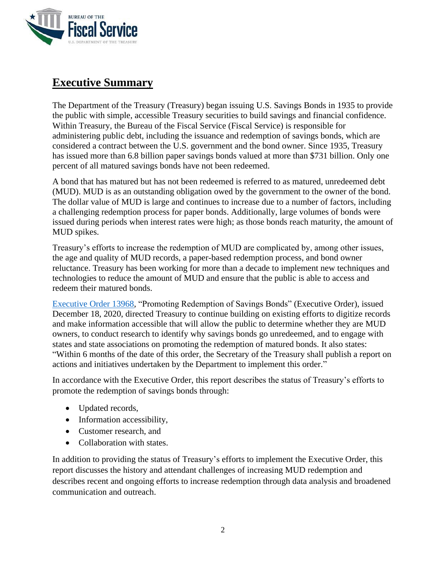

# <span id="page-2-0"></span>**Executive Summary**

The Department of the Treasury (Treasury) began issuing U.S. Savings Bonds in 1935 to provide the public with simple, accessible Treasury securities to build savings and financial confidence. Within Treasury, the Bureau of the Fiscal Service (Fiscal Service) is responsible for administering public debt, including the issuance and redemption of savings bonds, which are considered a contract between the U.S. government and the bond owner. Since 1935, Treasury has issued more than 6.8 billion paper savings bonds valued at more than \$731 billion. Only one percent of all matured savings bonds have not been redeemed.

A bond that has matured but has not been redeemed is referred to as matured, unredeemed debt (MUD). MUD is as an outstanding obligation owed by the government to the owner of the bond. The dollar value of MUD is large and continues to increase due to a number of factors, including a challenging redemption process for paper bonds. Additionally, large volumes of bonds were issued during periods when interest rates were high; as those bonds reach maturity, the amount of MUD spikes.

Treasury's efforts to increase the redemption of MUD are complicated by, among other issues, the age and quality of MUD records, a paper-based redemption process, and bond owner reluctance. Treasury has been working for more than a decade to implement new techniques and technologies to reduce the amount of MUD and ensure that the public is able to access and redeem their matured bonds.

Executive [Order 13968,](https://www.federalregister.gov/documents/2020/12/23/2020-28606/promoting-redemption-of-savings-bonds) "Promoting Redemption of Savings Bonds" (Executive Order), issued December 18, 2020, directed Treasury to continue building on existing efforts to digitize records and make information accessible that will allow the public to determine whether they are MUD owners, to conduct research to identify why savings bonds go unredeemed, and to engage with states and state associations on promoting the redemption of matured bonds. It also states: "Within 6 months of the date of this order, the Secretary of the Treasury shall publish a report on actions and initiatives undertaken by the Department to implement this order."

In accordance with the Executive Order, this report describes the status of Treasury's efforts to promote the redemption of savings bonds through:

- Updated records,
- Information accessibility,
- Customer research, and
- Collaboration with states.

In addition to providing the status of Treasury's efforts to implement the Executive Order, this report discusses the history and attendant challenges of increasing MUD redemption and describes recent and ongoing efforts to increase redemption through data analysis and broadened communication and outreach.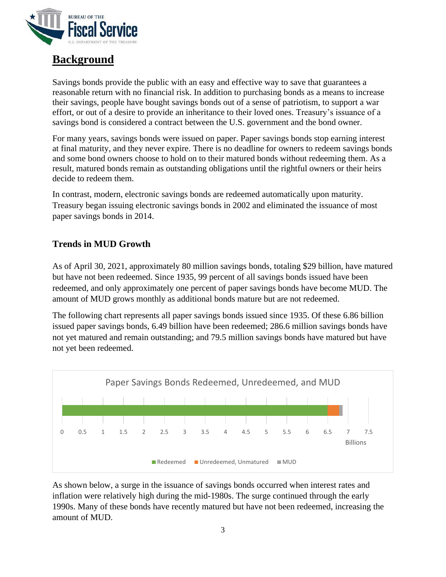

# <span id="page-3-0"></span>**Background**

Savings bonds provide the public with an easy and effective way to save that guarantees a reasonable return with no financial risk. In addition to purchasing bonds as a means to increase their savings, people have bought savings bonds out of a sense of patriotism, to support a war effort, or out of a desire to provide an inheritance to their loved ones. Treasury's issuance of a savings bond is considered a contract between the U.S. government and the bond owner.

For many years, savings bonds were issued on paper. Paper savings bonds stop earning interest at final maturity, and they never expire. There is no deadline for owners to redeem savings bonds and some bond owners choose to hold on to their matured bonds without redeeming them. As a result, matured bonds remain as outstanding obligations until the rightful owners or their heirs decide to redeem them.

In contrast, modern, electronic savings bonds are redeemed automatically upon maturity. Treasury began issuing electronic savings bonds in 2002 and eliminated the issuance of most paper savings bonds in 2014.

# <span id="page-3-1"></span>**Trends in MUD Growth**

As of April 30, 2021, approximately 80 million savings bonds, totaling \$29 billion, have matured but have not been redeemed. Since 1935, 99 percent of all savings bonds issued have been redeemed, and only approximately one percent of paper savings bonds have become MUD. The amount of MUD grows monthly as additional bonds mature but are not redeemed.

The following chart represents all paper savings bonds issued since 1935. Of these 6.86 billion issued paper savings bonds, 6.49 billion have been redeemed; 286.6 million savings bonds have not yet matured and remain outstanding; and 79.5 million savings bonds have matured but have not yet been redeemed.



As shown below, a surge in the issuance of savings bonds occurred when interest rates and inflation were relatively high during the mid-1980s. The surge continued through the early 1990s. Many of these bonds have recently matured but have not been redeemed, increasing the amount of MUD.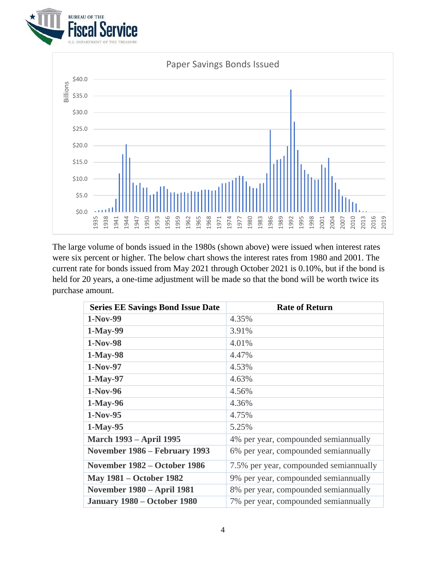



The large volume of bonds issued in the 1980s (shown above) were issued when interest rates were six percent or higher. The below chart shows the interest rates from 1980 and 2001. The current rate for bonds issued from May 2021 through October 2021 is 0.10%, but if the bond is held for 20 years, a one-time adjustment will be made so that the bond will be worth twice its purchase amount.

| <b>Series EE Savings Bond Issue Date</b> | <b>Rate of Return</b>                   |
|------------------------------------------|-----------------------------------------|
| 1-Nov-99                                 | 4.35%                                   |
| 1-May-99                                 | 3.91%                                   |
| 1-Nov-98                                 | 4.01%                                   |
| 1-May-98                                 | 4.47%                                   |
| $1-Nov-97$                               | 4.53%                                   |
| 1-May-97                                 | 4.63%                                   |
| 1-Nov-96                                 | 4.56%                                   |
| 1-May-96                                 | 4.36%                                   |
| $1-Nov-95$                               | 4.75%                                   |
| 1-May-95                                 | 5.25%                                   |
| <b>March 1993 – April 1995</b>           | 4% per year, compounded semiannually    |
| November 1986 - February 1993            | 6% per year, compounded semiannually    |
| November 1982 – October 1986             | 7.5% per year, compounded semian mually |
| <b>May 1981 – October 1982</b>           | 9% per year, compounded semiannually    |
| <b>November 1980 – April 1981</b>        | 8% per year, compounded semiannually    |
| <b>January 1980 – October 1980</b>       | 7% per year, compounded semiannually    |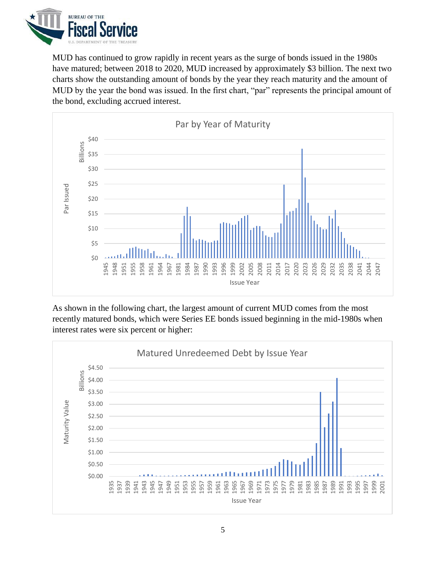

MUD has continued to grow rapidly in recent years as the surge of bonds issued in the 1980s have matured; between 2018 to 2020, MUD increased by approximately \$3 billion. The next two charts show the outstanding amount of bonds by the year they reach maturity and the amount of MUD by the year the bond was issued. In the first chart, "par" represents the principal amount of the bond, excluding accrued interest.



As shown in the following chart, the largest amount of current MUD comes from the most recently matured bonds, which were Series EE bonds issued beginning in the mid-1980s when interest rates were six percent or higher:

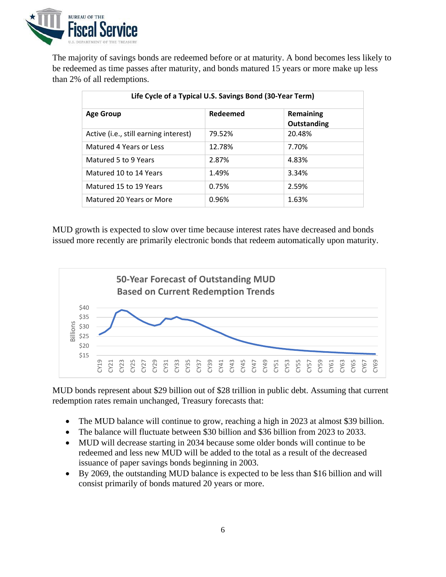

The majority of savings bonds are redeemed before or at maturity. A bond becomes less likely to be redeemed as time passes after maturity, and bonds matured 15 years or more make up less than 2% of all redemptions.

| Life Cycle of a Typical U.S. Savings Bond (30-Year Term) |          |                          |  |
|----------------------------------------------------------|----------|--------------------------|--|
| <b>Age Group</b>                                         | Redeemed | Remaining<br>Outstanding |  |
| Active (i.e., still earning interest)                    | 79.52%   | 20.48%                   |  |
| Matured 4 Years or Less                                  | 12.78%   | 7.70%                    |  |
| Matured 5 to 9 Years                                     | 2.87%    | 4.83%                    |  |
| Matured 10 to 14 Years                                   | 1.49%    | 3.34%                    |  |
| Matured 15 to 19 Years                                   | 0.75%    | 2.59%                    |  |
| Matured 20 Years or More                                 | 0.96%    | 1.63%                    |  |

MUD growth is expected to slow over time because interest rates have decreased and bonds issued more recently are primarily electronic bonds that redeem automatically upon maturity.



MUD bonds represent about \$29 billion out of \$28 trillion in public debt. Assuming that current redemption rates remain unchanged, Treasury forecasts that:

- The MUD balance will continue to grow, reaching a high in 2023 at almost \$39 billion.
- The balance will fluctuate between \$30 billion and \$36 billion from 2023 to 2033.
- MUD will decrease starting in 2034 because some older bonds will continue to be redeemed and less new MUD will be added to the total as a result of the decreased issuance of paper savings bonds beginning in 2003.
- By 2069, the outstanding MUD balance is expected to be less than \$16 billion and will consist primarily of bonds matured 20 years or more.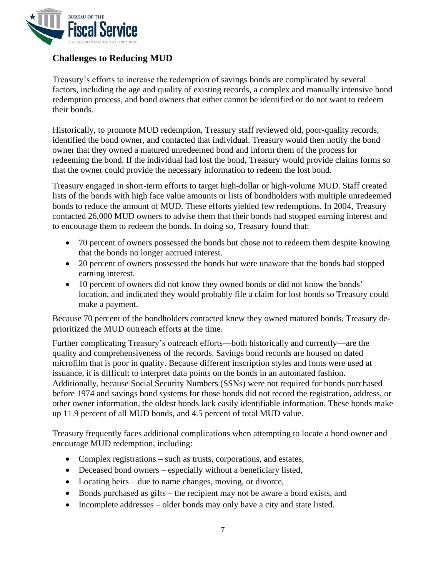

## <span id="page-7-0"></span>**Challenges to Reducing MUD**

Treasury's efforts to increase the redemption of savings bonds are complicated by several factors, including the age and quality of existing records, a complex and manually intensive bond redemption process, and bond owners that either cannot be identified or do not want to redeem their bonds.

Historically, to promote MUD redemption, Treasury staff reviewed old, poor-quality records, identified the bond owner, and contacted that individual. Treasury would then notify the bond owner that they owned a matured unredeemed bond and inform them of the process for redeeming the bond. If the individual had lost the bond, Treasury would provide claims forms so that the owner could provide the necessary information to redeem the lost bond.

Treasury engaged in short-term efforts to target high-dollar or high-volume MUD. Staff created lists of the bonds with high face value amounts or lists of bondholders with multiple unredeemed bonds to reduce the amount of MUD. These efforts yielded few redemptions. In 2004, Treasury contacted 26,000 MUD owners to advise them that their bonds had stopped earning interest and to encourage them to redeem the bonds. In doing so, Treasury found that:

- 70 percent of owners possessed the bonds but chose not to redeem them despite knowing that the bonds no longer accrued interest.
- 20 percent of owners possessed the bonds but were unaware that the bonds had stopped earning interest.
- 10 percent of owners did not know they owned bonds or did not know the bonds' location, and indicated they would probably file a claim for lost bonds so Treasury could make a payment.

Because 70 percent of the bondholders contacted knew they owned matured bonds, Treasury deprioritized the MUD outreach efforts at the time.

Further complicating Treasury's outreach efforts—both historically and currently—are the quality and comprehensiveness of the records. Savings bond records are housed on dated microfilm that is poor in quality. Because different inscription styles and fonts were used at issuance, it is difficult to interpret data points on the bonds in an automated fashion. Additionally, because Social Security Numbers (SSNs) were not required for bonds purchased before 1974 and savings bond systems for those bonds did not record the registration, address, or other owner information, the oldest bonds lack easily identifiable information. These bonds make up 11.9 percent of all MUD bonds, and 4.5 percent of total MUD value.

Treasury frequently faces additional complications when attempting to locate a bond owner and encourage MUD redemption, including:

- Complex registrations such as trusts, corporations, and estates,
- Deceased bond owners especially without a beneficiary listed,
- Locating heirs due to name changes, moving, or divorce,
- Bonds purchased as gifts the recipient may not be aware a bond exists, and
- Incomplete addresses older bonds may only have a city and state listed.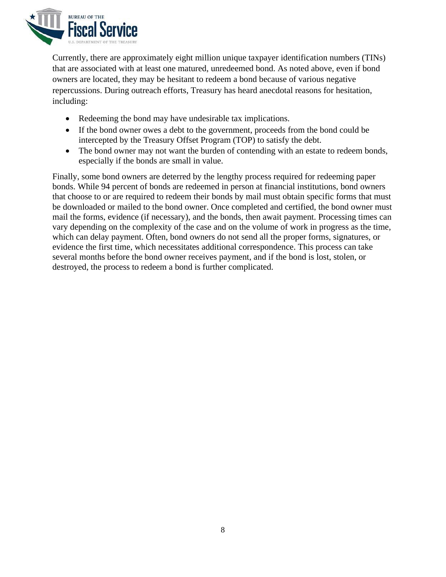

Currently, there are approximately eight million unique taxpayer identification numbers (TINs) that are associated with at least one matured, unredeemed bond. As noted above, even if bond owners are located, they may be hesitant to redeem a bond because of various negative repercussions. During outreach efforts, Treasury has heard anecdotal reasons for hesitation, including:

- Redeeming the bond may have undesirable tax implications.
- If the bond owner owes a debt to the government, proceeds from the bond could be intercepted by the Treasury Offset Program (TOP) to satisfy the debt.
- The bond owner may not want the burden of contending with an estate to redeem bonds, especially if the bonds are small in value.

Finally, some bond owners are deterred by the lengthy process required for redeeming paper bonds. While 94 percent of bonds are redeemed in person at financial institutions, bond owners that choose to or are required to redeem their bonds by mail must obtain specific forms that must be downloaded or mailed to the bond owner. Once completed and certified, the bond owner must mail the forms, evidence (if necessary), and the bonds, then await payment. Processing times can vary depending on the complexity of the case and on the volume of work in progress as the time, which can delay payment. Often, bond owners do not send all the proper forms, signatures, or evidence the first time, which necessitates additional correspondence. This process can take several months before the bond owner receives payment, and if the bond is lost, stolen, or destroyed, the process to redeem a bond is further complicated.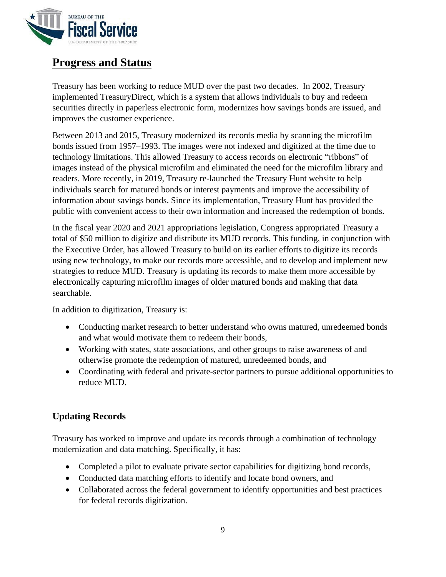

# <span id="page-9-0"></span>**Progress and Status**

Treasury has been working to reduce MUD over the past two decades. In 2002, Treasury implemented TreasuryDirect, which is a system that allows individuals to buy and redeem securities directly in paperless electronic form, modernizes how savings bonds are issued, and improves the customer experience.

Between 2013 and 2015, Treasury modernized its records media by scanning the microfilm bonds issued from 1957–1993. The images were not indexed and digitized at the time due to technology limitations. This allowed Treasury to access records on electronic "ribbons" of images instead of the physical microfilm and eliminated the need for the microfilm library and readers. More recently, in 2019, Treasury re-launched the Treasury Hunt website to help individuals search for matured bonds or interest payments and improve the accessibility of information about savings bonds. Since its implementation, Treasury Hunt has provided the public with convenient access to their own information and increased the redemption of bonds.

In the fiscal year 2020 and 2021 appropriations legislation, Congress appropriated Treasury a total of \$50 million to digitize and distribute its MUD records. This funding, in conjunction with the Executive Order, has allowed Treasury to build on its earlier efforts to digitize its records using new technology, to make our records more accessible, and to develop and implement new strategies to reduce MUD. Treasury is updating its records to make them more accessible by electronically capturing microfilm images of older matured bonds and making that data searchable.

In addition to digitization, Treasury is:

- Conducting market research to better understand who owns matured, unredeemed bonds and what would motivate them to redeem their bonds,
- Working with states, state associations, and other groups to raise awareness of and otherwise promote the redemption of matured, unredeemed bonds, and
- Coordinating with federal and private-sector partners to pursue additional opportunities to reduce MUD.

## <span id="page-9-1"></span>**Updating Records**

Treasury has worked to improve and update its records through a combination of technology modernization and data matching. Specifically, it has:

- Completed a pilot to evaluate private sector capabilities for digitizing bond records,
- Conducted data matching efforts to identify and locate bond owners, and
- Collaborated across the federal government to identify opportunities and best practices for federal records digitization.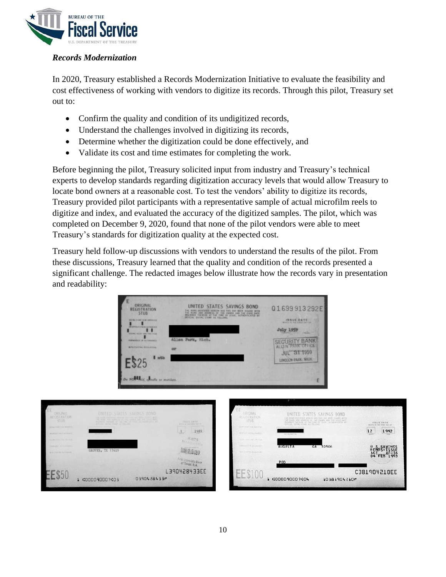

#### <span id="page-10-0"></span>*Records Modernization*

In 2020, Treasury established a Records Modernization Initiative to evaluate the feasibility and cost effectiveness of working with vendors to digitize its records. Through this pilot, Treasury set out to:

- Confirm the quality and condition of its undigitized records,
- Understand the challenges involved in digitizing its records,
- Determine whether the digitization could be done effectively, and
- Validate its cost and time estimates for completing the work.

Before beginning the pilot, Treasury solicited input from industry and Treasury's technical experts to develop standards regarding digitization accuracy levels that would allow Treasury to locate bond owners at a reasonable cost. To test the vendors' ability to digitize its records, Treasury provided pilot participants with a representative sample of actual microfilm reels to digitize and index, and evaluated the accuracy of the digitized samples. The pilot, which was completed on December 9, 2020, found that none of the pilot vendors were able to meet Treasury's standards for digitization quality at the expected cost.

Treasury held follow-up discussions with vendors to understand the results of the pilot. From these discussions, Treasury learned that the quality and condition of the records presented a significant challenge. The redacted images below illustrate how the records vary in presentation and readability:



|                                                                  |                                                                                                                                                                                                                                       |                                                   |                                                | <b>TAXABLE</b>                                                                                                                                                                                               |                                          |
|------------------------------------------------------------------|---------------------------------------------------------------------------------------------------------------------------------------------------------------------------------------------------------------------------------------|---------------------------------------------------|------------------------------------------------|--------------------------------------------------------------------------------------------------------------------------------------------------------------------------------------------------------------|------------------------------------------|
| ORIGINAL<br>REGISTRATION<br>STUB:                                | UNITED STATES SAVINGS BOND<br>THE BURG CURRENT MODIAL AND THOUGHT BUT AND USING A WAT<br>AND KNOCKE OF THE EMISS AND THE ETHIC PARTY<br>periment bettern at the time of third accountable of the<br>SEVERAL DATIN, ITANY, AS ANCHORE, | <b>ISSUE DAYS</b><br>allocking into towar Mar and | <b>EGISTRATION</b><br>STUB                     | <b>UNITED STATES SAVINGS BOND</b><br>HE ROOT STATISTIC HEREAS HAS CHE THE VEEK CHARD. WITH<br>THE RANT AND ADDRESS OF THE CAUSE AND THE WALL DATE<br>SERVICE THERMAN AT THE THIR USE THIRD ANTICRITICALLY BY | ISSUE DATE:<br>workly in him kies) has a |
| <b>BUSINE COMPTER MOVED ET LES</b><br>29 DEFINITI DA VI ATHOLICI |                                                                                                                                                                                                                                       | 1989                                              | <b>SEPT FEW TERCHENSIS</b><br><b>MORTLANDS</b> | RESIDENCE                                                                                                                                                                                                    | 12<br>1992                               |
| PECIFICATION AND THE TITLE.                                      | Now the chest is con-                                                                                                                                                                                                                 |                                                   | South County Letter Little High-               |                                                                                                                                                                                                              |                                          |
| <b>Hawkird S.M. Highland</b>                                     |                                                                                                                                                                                                                                       | SPACER HATHTS                                     | SWANNER WAS ARRESTED                           | <b>AUGUSTA</b><br>GA 30906                                                                                                                                                                                   |                                          |
| arts control from about                                          | GROVES, TX 77619                                                                                                                                                                                                                      |                                                   | NAV COVER BUILDING                             |                                                                                                                                                                                                              | $^{46}_{04}$<br>FEB 1993                 |
|                                                                  |                                                                                                                                                                                                                                       | interstate Barry<br>of Texas, N.A.                |                                                | P <sub>00</sub>                                                                                                                                                                                              |                                          |
|                                                                  |                                                                                                                                                                                                                                       | L390428433EE                                      |                                                |                                                                                                                                                                                                              | C381904210EE                             |
| LLOJL                                                            | 0390428433P<br>1 000009000703                                                                                                                                                                                                         |                                                   |                                                | 1 000009000704<br>10381904210*                                                                                                                                                                               |                                          |
|                                                                  |                                                                                                                                                                                                                                       |                                                   |                                                |                                                                                                                                                                                                              |                                          |
|                                                                  |                                                                                                                                                                                                                                       |                                                   |                                                |                                                                                                                                                                                                              |                                          |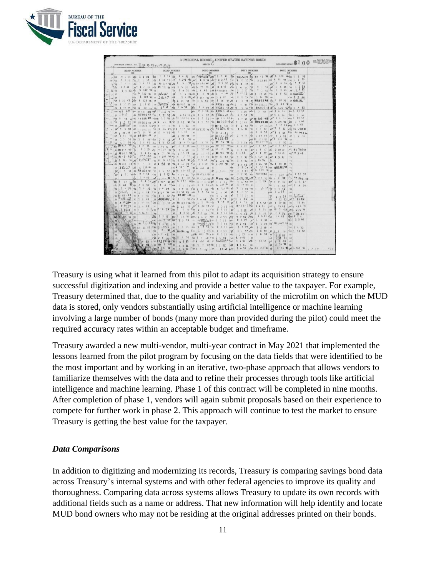

| NUMERICAL RECORD-UNITED STATES SAVINGS BONDS<br>Tax Colly Bab Atthen<br>DENOMINATION \$100<br><b>SERIES</b> C<br>CONTROL SERIAL NO. 1 9 9 9 0 0 0 0                                                                                                                                                                                      |              |                                                                                                                                                                                                                                                                                                                                                                                                                                                                                     |             |                                                                                                                   |
|------------------------------------------------------------------------------------------------------------------------------------------------------------------------------------------------------------------------------------------------------------------------------------------------------------------------------------------|--------------|-------------------------------------------------------------------------------------------------------------------------------------------------------------------------------------------------------------------------------------------------------------------------------------------------------------------------------------------------------------------------------------------------------------------------------------------------------------------------------------|-------------|-------------------------------------------------------------------------------------------------------------------|
| <b>BOND NUMBER</b>                                                                                                                                                                                                                                                                                                                       | BOND NUMBER  | <b>BOND NUMBER</b>                                                                                                                                                                                                                                                                                                                                                                                                                                                                  | BOND NUMBER | <b>BOND NUMBER</b>                                                                                                |
| $N$ Vet<br>$1 - 62$                                                                                                                                                                                                                                                                                                                      |              | 2 7 5 8 14 1 1 1 3 2 16 1 1 2 5 6 26 6 2 9 9 4 2 2 5 2 2 4 2 2 5 0 1 2 1 7 5 0 2 2 5 0 1 2 1 2 5 0 1 2 3 4 2 3 2 3 4 2 3 4 2 3 4 2 3 4 2 3 4 2 3 4 2 3 4 2 3 4 2 3 4 2 3 4 2 3 4 2 3 4 2 3 4 2 3 4 2 3 4 2 3 4 2 3 4 2 3 4 2<br>$27.8$ 6 1 7 51 6 82 717 18 8 2 4 4 6 7 8 7 8 1 1 14 6 2 7 6 2 1 6 1 8 54 8 8 8 8 9 1 1 4 5 6 1 3 5 8<br>2 3 61 mg 1 7 51 up 18 77 us Vis 1 5 57 up 6 6 74 - 15 15 26 2 up 1 e sa 10 1 1 50 g 1 4 55 5 1 5 53                                       |             |                                                                                                                   |
| $1 + 52 \sqrt{3}$ 6 120 '46 04<br>$n_{1}$ 04<br>$-705$<br>$\frac{1}{2}$ 20 47 $\frac{1}{2}$ 6 120 '48 or                                                                                                                                                                                                                                 |              | 54 2 6 51 64 1 9 48 8 8 8 8 8 8 8 8 8 8 9 8 1 1 1 0 9 3 8 1 1 5 9 7 8 1 1 5 8 8 8 1 2 5 8 2 1 5 9 8<br>5 x 6 120 46 as 3 R = 27 pd 1 4 55 6 1 5 48 6 1 5 48 6 5 12 52 8 1 17 48 6 5 1 6 52 35 5 pointed.<br>Vis 6 120 '48 or 3 R.A.7 66 2 4 60 00 6 557 '46 000 2 6 62 00 1 10 53 '60 3 14 50 00<br>Ит. 6 99 чл 0т 1 6 52 Ит 1 16 10 № 1 3 48 - п RB202%4 № 1 10 57 17 Бронка                                                                                                       |             | $\nu_{30}$ 1 8 52                                                                                                 |
| 08 1 10 53 Vts 1 12 51 08 3561127<br>m case m 3 4 8 year on a 3 and 10 10 15 14 14 160 year 2 6 59 sho RB 21 5 43 days 1 7 5 5 6 30 1 7 apr 1 6 5 6 160 1 10 55<br>$\sim$ 11 $>$ 12 $\sqrt{6}$ $\sim$ 68 224 33 $\sqrt{11}$ 11 52 $\sqrt{61}$ 11 0 51 $\sqrt{11}$ 1 9 52 61 1 6 24 1 6 1 1 2 58 61 1 2 58 61 1 1 6 56 $\sqrt{61}$ 1 7 52 |              | 5 49 9 0 7 13 0 3 49 49 49 49 49 49 49 49 49 49 40 41 42 49 5<br>00 1 10 15 160 6 40 16 17 17 17 160 1 4 51 160 2 6 59 6 RB215 43 160 3 5 16 163 160 3 60 6 520 1610 1 7 52<br>Vis 6 40 vg/s2 88224 #3 visin 2:2 45 46 89 154 14 Vis 1 9 52 / 62 16 13 43 42 1 2 58 AF 10 122 - 45 M <sup>2</sup> 1 6 5 c 49 1 10 55                                                                                                                                                                |             |                                                                                                                   |
| - 1 3 3 57 1 45 1 2 3 3 4 4 4 4 9 4 5 1 5 7 1 8 1 2 3 4 4 5 4 5 6 7 8 9 4 5 1 4 5 6 7 8 9 40 1 2 3 4 5 7 9 57 4 5 8 9 4 0 1                                                                                                                                                                                                              |              | 18 3 3 53 168 88 224 43 14 4 2 1 14 16 2 22 10 11 8 1 9 52 168 1830 6 4 16 1 1 1 19 16 18 21 9 44 15 2 3 44 1 2 5 62<br>3police ct 1:224 13 x 14 3 1 4 5 1 4 5 2 14 4 5 4 5 4 5 4 5 4 5 4 6 4 5 6 7 6 6 7 6 7 8 7 8 9 7 8 9 7 8 9 7 8 9 7 8 9 7 8 9 7 8 9 7 8 9 7 8 9 7 8 9 7 8 9 7 8 9 7 8 9 7 8 9 7 8 9 7 8 9 7 8 9 7 8 9 7 8 9 7 8 9 7 8 9 7 8 9 7                                                                                                                               |             | 66 R 5 - 4 3 16 6 1 8 51 26 1 9 57 Vos Rd 9 40 M                                                                  |
|                                                                                                                                                                                                                                                                                                                                          |              | 19 1 3 51 Yea 1 8 52 Ap 3 4 52 6 2 0 53 Len 1 15 18 19 80 56 160 10 1 4 52 Leo RB 85 3 34 19 1 9 52 co<br>60 \$8911 48 7 70 1 7 34 120 1 10 54 120 1 4 55 220 1 17 49 270 88 56 48 220 1 4 52 320 1 1 37 400 1 1 57 470                                                                                                                                                                                                                                                             |             |                                                                                                                   |
| ks /82 . 5 . 4 3 73                                                                                                                                                                                                                                                                                                                      |              | <b>如 解911 寒 ~ 1 1 54 或 4 7 零 个 1 1 9 49 回 1 17 4 9 階 781 44 2 1 1 53 万 1 1 57 元 1 1 57 元 2 3 62</b><br>1-1-52 3 6 299 46 Kg 1 19 50 at 1 17 49 ft RF 5 - 43 2 1 8 52 Kg 6 469 46 25 1 5 51 T3<br>at 6 361 46 pt 85 Photo as 80 8 43 1/2 6 469 46 10 2 5 62 12 6 4 6 20 12 30 1 8 52 74 1 10 54 14                                                                                                                                                                                   |             |                                                                                                                   |
|                                                                                                                                                                                                                                                                                                                                          |              | AS 88 5 5 13 16 1 1 10 56 10 10 11 10 56 23 50 48 6 6 6 0 18 28 1 5 52 26 1 26 10 12 1 10 56 16<br>by 1 9 48 + RB 329 25 27 2 6 52 THE 40 43 or fr 1 7 47 42 1 1 54 4 6 620 48 or<br>281 21 48 2 9 58 \cs 1 5 53 4 35 1 2 30 RD - 7 1 4 45 78 \cs 1 2 53 46 RB 1 0 5 44 1 2 50 1 1 3 50                                                                                                                                                                                             |             |                                                                                                                   |
| 4122                                                                                                                                                                                                                                                                                                                                     |              | $\frac{10}{22}$ $\frac{1000}{1001}$ $\frac{35}{101}$ $\frac{35}{101}$ $\frac{35}{101}$ $\frac{35}{101}$ $\frac{35}{101}$ $\frac{35}{101}$ $\frac{35}{101}$ $\frac{35}{101}$ $\frac{35}{101}$ $\frac{35}{101}$ $\frac{35}{101}$ $\frac{35}{101}$ $\frac{35}{101}$ $\frac{35}{101}$ $\frac{35}{101}$<br>1 4 53 4 68 3 4 52 70 2 12 58 80 1 4 52 702 1 7 52 40 8 221 45 40 1 9 50 900 1 19 50 900 1 10 52<br>3 full 88 1 0 18 1 2 2 4 18 18 3 5 4 19 18 1 5 5 4 18 1 6 5 3 2 1 9 5 3 8 |             | $f_{31}$ 7 62 $f_{1}$ 1 4 57<br>$\sqrt{33}$ 1 1 53                                                                |
|                                                                                                                                                                                                                                                                                                                                          |              | $\frac{13}{54}$ 20.35 - 4.3 $\frac{1}{54}$ 1 - 1.8 $\frac{13}{14}$ 1 - 5.2 $\sqrt{34}$ RB 377 1 4.3 $\frac{1}{34}$ $\sqrt{34}$ 1 - 6 53 $\frac{1}{24}$ 1<br>3 Special as y 9 48 as perpetting for 6 47 76 1 2 6 42 Jan 2 3 59 gy 2 4 56 as<br>80 3 SP 464 80 1 P 38 180 R 1 1 50 40 R 1 0 9 1 4 50 1 2 3 4 50 1 10 17 at 2 4 5 6 at 1 5 52 4 50 1 39 48 86 1 12 54                                                                                                                  | 9508        | $3 - 5623$<br>/34 1 4 53 84 3<br>$\sqrt{25}$ 1 12 52 $\mu$ 51 11 55                                               |
| $99 \t{90}$                                                                                                                                                                                                                                                                                                                              |              | 7 50 ss 3 36 51 80 80 1 5 53 86 2 7 62 86 1 3 5 3 60 1 6 52 86 1 8 56 59 1 6 52 69 1 20 54                                                                                                                                                                                                                                                                                                                                                                                          |             | $10 - 2261$<br>$+ 2260$                                                                                           |
| ü<br>45                                                                                                                                                                                                                                                                                                                                  |              | (45 4 7 4 2   95   45 6 40 1 16 / 95   1 3 5 3 145   1 3 5 3 15 16 1   1 3 5 3 16 1                                                                                                                                                                                                                                                                                                                                                                                                 |             |                                                                                                                   |
|                                                                                                                                                                                                                                                                                                                                          | 6 494 '46 90 | V40 2 11 53, 90 1 4 56 40 1 7 48 Voe 2 5 58 40 1 4 51 10<br>7. 52 $\sqrt{47}$ RB356 as $\frac{1}{21}$ 5 52 47 6 401 48 $\frac{1}{27}$ $\frac{2\sqrt{2}-1}{2}$ $\sqrt{47}$ 1 4 51 $\sqrt{47}$ 1 10 55 $\sqrt{47}$ 1 7 52<br>52 6 8 7 43 98 1 5 52 8 1 2 52 98 2 5 58 148 1 4 51 98                                                                                                                                                                                                   |             | $\sqrt{46}$ 1<br>Us 2 34 W<br>1 5 52 60 1 7 55 00 17 47 469 1 4 51 100 88 152 33 10 2 34 16 10 16 1 1 5 4<br>0.99 |

Treasury is using what it learned from this pilot to adapt its acquisition strategy to ensure successful digitization and indexing and provide a better value to the taxpayer. For example, Treasury determined that, due to the quality and variability of the microfilm on which the MUD data is stored, only vendors substantially using artificial intelligence or machine learning involving a large number of bonds (many more than provided during the pilot) could meet the required accuracy rates within an acceptable budget and timeframe.

Treasury awarded a new multi-vendor, multi-year contract in May 2021 that implemented the lessons learned from the pilot program by focusing on the data fields that were identified to be the most important and by working in an iterative, two-phase approach that allows vendors to familiarize themselves with the data and to refine their processes through tools like artificial intelligence and machine learning. Phase 1 of this contract will be completed in nine months. After completion of phase 1, vendors will again submit proposals based on their experience to compete for further work in phase 2. This approach will continue to test the market to ensure Treasury is getting the best value for the taxpayer.

#### <span id="page-11-0"></span>*Data Comparisons*

In addition to digitizing and modernizing its records, Treasury is comparing savings bond data across Treasury's internal systems and with other federal agencies to improve its quality and thoroughness. Comparing data across systems allows Treasury to update its own records with additional fields such as a name or address. That new information will help identify and locate MUD bond owners who may not be residing at the original addresses printed on their bonds.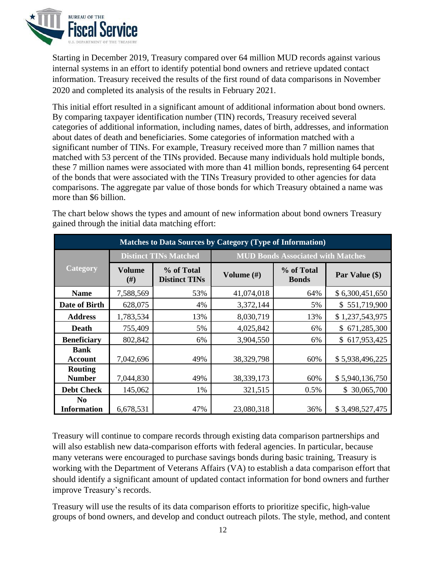

Starting in December 2019, Treasury compared over 64 million MUD records against various internal systems in an effort to identify potential bond owners and retrieve updated contact information. Treasury received the results of the first round of data comparisons in November 2020 and completed its analysis of the results in February 2021.

This initial effort resulted in a significant amount of additional information about bond owners. By comparing taxpayer identification number (TIN) records, Treasury received several categories of additional information, including names, dates of birth, addresses, and information about dates of death and beneficiaries. Some categories of information matched with a significant number of TINs. For example, Treasury received more than 7 million names that matched with 53 percent of the TINs provided. Because many individuals hold multiple bonds, these 7 million names were associated with more than 41 million bonds, representing 64 percent of the bonds that were associated with the TINs Treasury provided to other agencies for data comparisons. The aggregate par value of those bonds for which Treasury obtained a name was more than \$6 billion.

**Matches to Data Sources by Category (Type of Information) Category Distinct TINs Matched MUD Bonds Associated with Matches Volume (#) % of Total Distinct TINs Volume (#) % of Total Par Value (\$) Name** 7,588,569 53% 41,074,018 64% \$ 6,300,451,650 **Date of Birth** 628,075 4% 3,372,144 5% \$ 551,719,900 **Address** 1,783,534 13% 13% 8,030,719 13% \$ 1,237,543,975 **Death** 755,409 5% 4,025,842 6% \$ 671,285,300 **Beneficiary** 802,842 6% 3,904,550 6% \$ 617,953,425 **Bank Account** 7,042,696 49% 49% 38,329,798 60% \$ 5,938,496,225 **Routing Number** 7,044,830 49% 38,339,173 60% \$ 5,940,136,750 **Debt Check** 145,062 1% 321,515 0.5% \$ 30,065,700 **No Information** 6,678,531 47% 23,080,318 36% \$ 3,498,527,475

The chart below shows the types and amount of new information about bond owners Treasury gained through the initial data matching effort:

Treasury will continue to compare records through existing data comparison partnerships and will also establish new data-comparison efforts with federal agencies. In particular, because many veterans were encouraged to purchase savings bonds during basic training, Treasury is working with the Department of Veterans Affairs (VA) to establish a data comparison effort that should identify a significant amount of updated contact information for bond owners and further improve Treasury's records.

Treasury will use the results of its data comparison efforts to prioritize specific, high-value groups of bond owners, and develop and conduct outreach pilots. The style, method, and content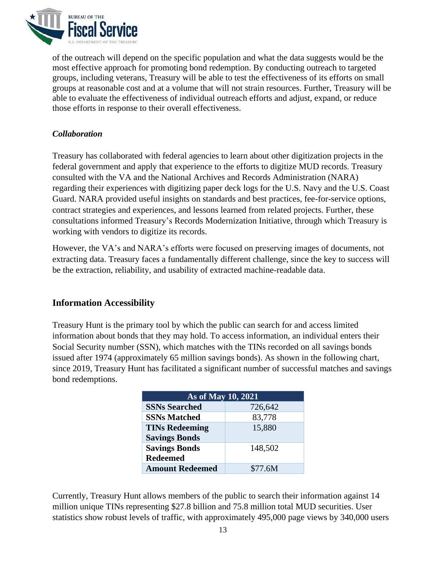

of the outreach will depend on the specific population and what the data suggests would be the most effective approach for promoting bond redemption. By conducting outreach to targeted groups, including veterans, Treasury will be able to test the effectiveness of its efforts on small groups at reasonable cost and at a volume that will not strain resources. Further, Treasury will be able to evaluate the effectiveness of individual outreach efforts and adjust, expand, or reduce those efforts in response to their overall effectiveness.

#### <span id="page-13-0"></span>*Collaboration*

Treasury has collaborated with federal agencies to learn about other digitization projects in the federal government and apply that experience to the efforts to digitize MUD records. Treasury consulted with the VA and the National Archives and Records Administration (NARA) regarding their experiences with digitizing paper deck logs for the U.S. Navy and the U.S. Coast Guard. NARA provided useful insights on standards and best practices, fee-for-service options, contract strategies and experiences, and lessons learned from related projects. Further, these consultations informed Treasury's Records Modernization Initiative, through which Treasury is working with vendors to digitize its records.

However, the VA's and NARA's efforts were focused on preserving images of documents, not extracting data. Treasury faces a fundamentally different challenge, since the key to success will be the extraction, reliability, and usability of extracted machine-readable data.

### <span id="page-13-1"></span>**Information Accessibility**

Treasury Hunt is the primary tool by which the public can search for and access limited information about bonds that they may hold. To access information, an individual enters their Social Security number (SSN), which matches with the TINs recorded on all savings bonds issued after 1974 (approximately 65 million savings bonds). As shown in the following chart, since 2019, Treasury Hunt has facilitated a significant number of successful matches and savings bond redemptions.

| As of May 10, 2021     |         |  |
|------------------------|---------|--|
| <b>SSNs Searched</b>   | 726,642 |  |
| <b>SSNs Matched</b>    | 83,778  |  |
| <b>TINs Redeeming</b>  | 15,880  |  |
| <b>Savings Bonds</b>   |         |  |
| <b>Savings Bonds</b>   | 148,502 |  |
| <b>Redeemed</b>        |         |  |
| <b>Amount Redeemed</b> | \$77.6M |  |

Currently, Treasury Hunt allows members of the public to search their information against 14 million unique TINs representing \$27.8 billion and 75.8 million total MUD securities. User statistics show robust levels of traffic, with approximately 495,000 page views by 340,000 users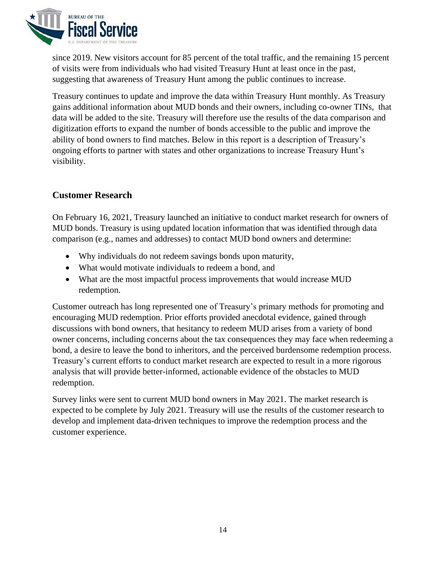

since 2019. New visitors account for 85 percent of the total traffic, and the remaining 15 percent of visits were from individuals who had visited Treasury Hunt at least once in the past, suggesting that awareness of Treasury Hunt among the public continues to increase.

Treasury continues to update and improve the data within Treasury Hunt monthly. As Treasury gains additional information about MUD bonds and their owners, including co-owner TINs, that data will be added to the site. Treasury will therefore use the results of the data comparison and digitization efforts to expand the number of bonds accessible to the public and improve the ability of bond owners to find matches. Below in this report is a description of Treasury's ongoing efforts to partner with states and other organizations to increase Treasury Hunt's visibility.

### <span id="page-14-0"></span>**Customer Research**

On February 16, 2021, Treasury launched an initiative to conduct market research for owners of MUD bonds. Treasury is using updated location information that was identified through data comparison (e.g., names and addresses) to contact MUD bond owners and determine:

- Why individuals do not redeem savings bonds upon maturity,
- What would motivate individuals to redeem a bond, and
- What are the most impactful process improvements that would increase MUD redemption.

Customer outreach has long represented one of Treasury's primary methods for promoting and encouraging MUD redemption. Prior efforts provided anecdotal evidence, gained through discussions with bond owners, that hesitancy to redeem MUD arises from a variety of bond owner concerns, including concerns about the tax consequences they may face when redeeming a bond, a desire to leave the bond to inheritors, and the perceived burdensome redemption process. Treasury's current efforts to conduct market research are expected to result in a more rigorous analysis that will provide better-informed, actionable evidence of the obstacles to MUD redemption.

Survey links were sent to current MUD bond owners in May 2021. The market research is expected to be complete by July 2021. Treasury will use the results of the customer research to develop and implement data-driven techniques to improve the redemption process and the customer experience.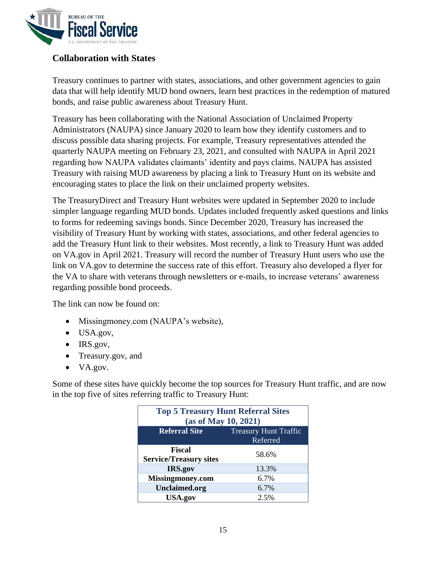

### <span id="page-15-0"></span>**Collaboration with States**

Treasury continues to partner with states, associations, and other government agencies to gain data that will help identify MUD bond owners, learn best practices in the redemption of matured bonds, and raise public awareness about Treasury Hunt.

Treasury has been collaborating with the National Association of Unclaimed Property Administrators (NAUPA) since January 2020 to learn how they identify customers and to discuss possible data sharing projects. For example, Treasury representatives attended the quarterly NAUPA meeting on February 23, 2021, and consulted with NAUPA in April 2021 regarding how NAUPA validates claimants' identity and pays claims. NAUPA has assisted Treasury with raising MUD awareness by placing a link to Treasury Hunt on its website and encouraging states to place the link on their unclaimed property websites.

The TreasuryDirect and Treasury Hunt websites were updated in September 2020 to include simpler language regarding MUD bonds. Updates included frequently asked questions and links to forms for redeeming savings bonds. Since December 2020, Treasury has increased the visibility of Treasury Hunt by working with states, associations, and other federal agencies to add the Treasury Hunt link to their websites. Most recently, a link to Treasury Hunt was added on VA.gov in April 2021. Treasury will record the number of Treasury Hunt users who use the link on VA.gov to determine the success rate of this effort. Treasury also developed a flyer for the VA to share with veterans through newsletters or e-mails, to increase veterans' awareness regarding possible bond proceeds.

The link can now be found on:

- Missingmoney.com (NAUPA's website),
- USA.gov,
- IRS.gov,
- Treasury.gov, and
- VA.gov.

Some of these sites have quickly become the top sources for Treasury Hunt traffic, and are now in the top five of sites referring traffic to Treasury Hunt:

| <b>Top 5 Treasury Hunt Referral Sites</b><br>(as of May 10, 2021) |       |  |
|-------------------------------------------------------------------|-------|--|
| <b>Referral Site</b><br><b>Treasury Hunt Traffic</b><br>Referred  |       |  |
| <b>Fiscal</b><br><b>Service/Treasury sites</b>                    | 58.6% |  |
| IRS.gov                                                           | 13.3% |  |
| Missingmoney.com                                                  | 6.7%  |  |
| <b>Unclaimed.org</b>                                              | 6.7%  |  |
| <b>USA.gov</b>                                                    | 2.5%  |  |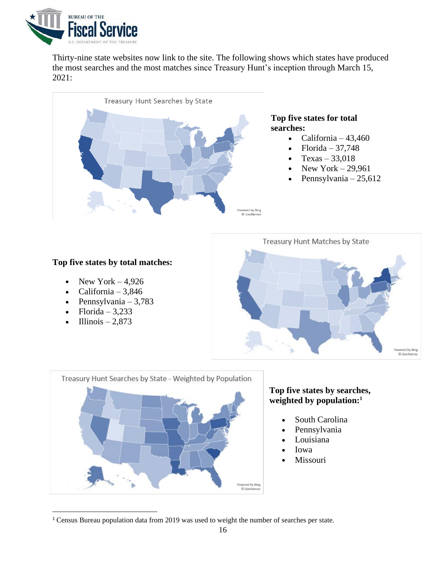

Thirty-nine state websites now link to the site. The following shows which states have produced the most searches and the most matches since Treasury Hunt's inception through March 15, 2021:



#### **Top five states by total matches:**

- New York  $-4.926$
- California  $3,846$
- Pennsylvania 3,783
- Florida  $3,233$
- Illinois 2,873





#### **Top five states by searches, weighted by population:<sup>1</sup>**

- South Carolina
- Pennsylvania
- **Louisiana**
- Iowa
- **Missouri**

<sup>1</sup> Census Bureau population data from 2019 was used to weight the number of searches per state.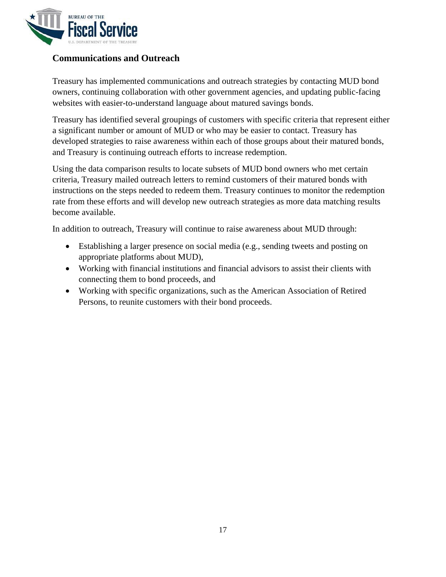

### <span id="page-17-0"></span>**Communications and Outreach**

Treasury has implemented communications and outreach strategies by contacting MUD bond owners, continuing collaboration with other government agencies, and updating public-facing websites with easier-to-understand language about matured savings bonds.

Treasury has identified several groupings of customers with specific criteria that represent either a significant number or amount of MUD or who may be easier to contact. Treasury has developed strategies to raise awareness within each of those groups about their matured bonds, and Treasury is continuing outreach efforts to increase redemption.

Using the data comparison results to locate subsets of MUD bond owners who met certain criteria, Treasury mailed outreach letters to remind customers of their matured bonds with instructions on the steps needed to redeem them. Treasury continues to monitor the redemption rate from these efforts and will develop new outreach strategies as more data matching results become available.

In addition to outreach, Treasury will continue to raise awareness about MUD through:

- Establishing a larger presence on social media (e.g., sending tweets and posting on appropriate platforms about MUD),
- Working with financial institutions and financial advisors to assist their clients with connecting them to bond proceeds, and
- Working with specific organizations, such as the American Association of Retired Persons, to reunite customers with their bond proceeds.